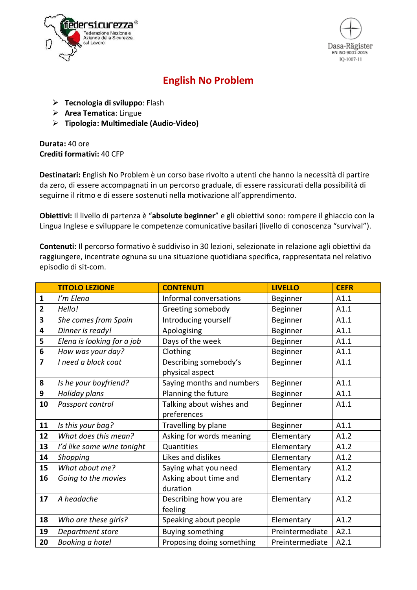



## **English No Problem**

- Ø **Tecnologia di sviluppo**: Flash
- Ø **Area Tematica**: Lingue
- Ø **Tipologia: Multimediale (Audio-Video)**

**Durata:** 40 ore **Crediti formativi:** 40 CFP

**Destinatari:** English No Problem è un corso base rivolto a utenti che hanno la necessità di partire da zero, di essere accompagnati in un percorso graduale, di essere rassicurati della possibilità di seguirne il ritmo e di essere sostenuti nella motivazione all'apprendimento.

**Obiettivi:** Il livello di partenza è "**absolute beginner**" e gli obiettivi sono: rompere il ghiaccio con la Lingua Inglese e sviluppare le competenze comunicative basilari (livello di conoscenza "survival").

**Contenuti:** Il percorso formativo è suddiviso in 30 lezioni, selezionate in relazione agli obiettivi da raggiungere, incentrate ognuna su una situazione quotidiana specifica, rappresentata nel relativo episodio di sit-com.

|                         | <b>TITOLO LEZIONE</b>      | <b>CONTENUTI</b>          | <b>LIVELLO</b>  | <b>CEFR</b> |
|-------------------------|----------------------------|---------------------------|-----------------|-------------|
| $\mathbf{1}$            | I'm Elena                  | Informal conversations    | Beginner        | A1.1        |
| $\overline{2}$          | Hello!                     | Greeting somebody         | Beginner        | A1.1        |
| $\overline{\mathbf{3}}$ | She comes from Spain       | Introducing yourself      | Beginner        | A1.1        |
| $\overline{\mathbf{4}}$ | Dinner is ready!           | Apologising               | Beginner        | A1.1        |
| 5                       | Elena is looking for a job | Days of the week          | Beginner        | A1.1        |
| $\boldsymbol{6}$        | How was your day?          | Clothing                  | Beginner        | A1.1        |
| $\overline{7}$          | I need a black coat        | Describing somebody's     | Beginner        | A1.1        |
|                         |                            | physical aspect           |                 |             |
| 8                       | Is he your boyfriend?      | Saying months and numbers | Beginner        | A1.1        |
| 9                       | Holiday plans              | Planning the future       | Beginner        | A1.1        |
| 10                      | Passport control           | Talking about wishes and  | Beginner        | A1.1        |
|                         |                            | preferences               |                 |             |
| 11                      | Is this your bag?          | Travelling by plane       | Beginner        | A1.1        |
| 12                      | What does this mean?       | Asking for words meaning  | Elementary      | A1.2        |
| 13                      | I'd like some wine tonight | Quantities                | Elementary      | A1.2        |
| 14                      | Shopping                   | Likes and dislikes        | Elementary      | A1.2        |
| 15                      | What about me?             | Saying what you need      | Elementary      | A1.2        |
| 16                      | Going to the movies        | Asking about time and     | Elementary      | A1.2        |
|                         |                            | duration                  |                 |             |
| 17                      | A headache                 | Describing how you are    | Elementary      | A1.2        |
|                         |                            | feeling                   |                 |             |
| 18                      | Who are these girls?       | Speaking about people     | Elementary      | A1.2        |
| 19                      | Department store           | <b>Buying something</b>   | Preintermediate | A2.1        |
| 20                      | Booking a hotel            | Proposing doing something | Preintermediate | A2.1        |